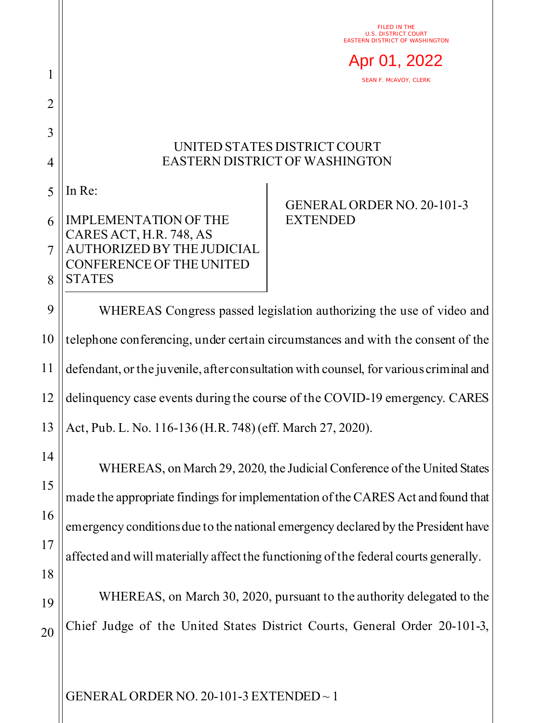FILED IN THE U.S. DISTRICT COURT EASTERN DISTRICT OF WASHINGTON

Apr 01, 2022

SEAN F. MCAVOY, CLERK

## UNITED STATES DISTRICT COURT EASTERN DISTRICT OF WASHINGTON

5 In Re:

1

2

3

4

## 6 7 8 IMPLEMENTATION OF THE CARES ACT, H.R. 748, AS AUTHORIZED BY THE JUDICIAL CONFERENCE OF THE UNITED **STATES**

## GENERAL ORDER NO. 20-101-3 **EXTENDED**

9 10 11 12 13 WHEREAS Congress passed legislation authorizing the use of video and telephone conferencing, under certain circumstances and with the consent of the defendant, or the juvenile, after consultation with counsel, for various criminal and delinquency case events during the course of the COVID-19 emergency. CARES Act, Pub. L. No. 116-136 (H.R. 748) (eff. March 27, 2020).

14 15 16 17 18 19 WHEREAS, on March 29, 2020, the Judicial Conference of the United States made the appropriate findings for implementation of the CARES Act and found that emergency conditions due to the national emergency declared by the President have affected and will materially affect the functioning of the federal courts generally. WHEREAS, on March 30, 2020, pursuant to the authority delegated to the

20 Chief Judge of the United States District Courts, General Order 20-101-3,

GENERAL ORDER NO. 20-101-3 EXTENDED ~ 1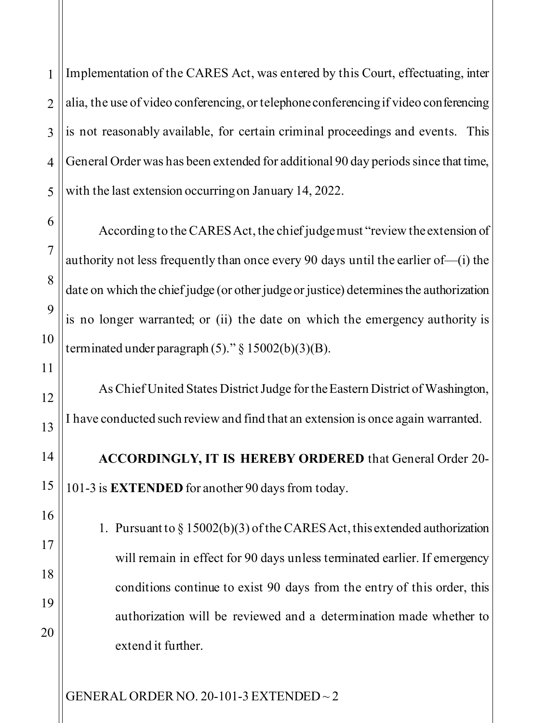1 2 Implementation of the CARES Act, was entered by this Court, effectuating, inter alia, the use of video conferencing, or telephone conferencing if video conferencing is not reasonably available, for certain criminal proceedings and events. This General Order was has been extended for additional 90 day periods since that time, with the last extension occurring on January 14, 2022.

According to the CARES Act, the chief judge must "review the extension of authority not less frequently than once every 90 days until the earlier of—(i) the date on which the chief judge (or other judge or justice) determines the authorization is no longer warranted; or (ii) the date on which the emergency authority is terminated under paragraph  $(5)$ ." § 15002(b)(3)(B).

As Chief United States District Judge for the Eastern District of Washington, I have conducted such review and find that an extension is once again warranted.

**ACCORDINGLY, IT IS HEREBY ORDERED** that General Order 20- 101-3 is **EXTENDED** for another 90 days from today.

1. Pursuant to § 15002(b)(3) of the CARES Act, this extended authorization will remain in effect for 90 days unless terminated earlier. If emergency conditions continue to exist 90 days from the entry of this order, this authorization will be reviewed and a determination made whether to extend it further.

GENERAL ORDER NO. 20-101-3 EXTENDED ~ 2